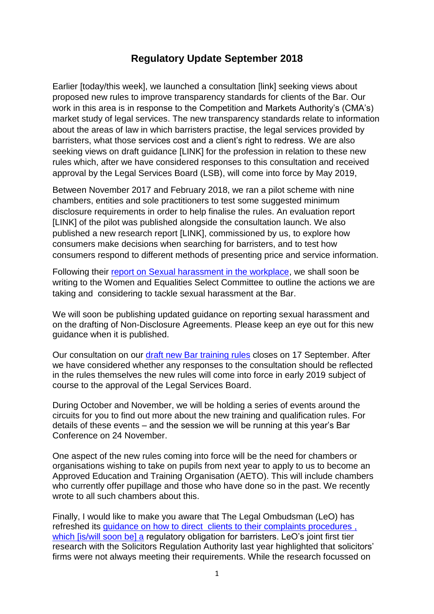## **Regulatory Update September 2018**

Earlier [today/this week], we launched a consultation [link] seeking views about proposed new rules to improve transparency standards for clients of the Bar. Our work in this area is in response to the Competition and Markets Authority's (CMA's) market study of legal services. The new transparency standards relate to information about the areas of law in which barristers practise, the legal services provided by barristers, what those services cost and a client's right to redress. We are also seeking views on draft guidance [LINK] for the profession in relation to these new rules which, after we have considered responses to this consultation and received approval by the Legal Services Board (LSB), will come into force by May 2019,

Between November 2017 and February 2018, we ran a pilot scheme with nine chambers, entities and sole practitioners to test some suggested minimum disclosure requirements in order to help finalise the rules. An evaluation report [LINK] of the pilot was published alongside the consultation launch. We also published a new research report [LINK], commissioned by us, to explore how consumers make decisions when searching for barristers, and to test how consumers respond to different methods of presenting price and service information.

Following their [report on Sexual harassment in the workplace,](https://www.barstandardsboard.org.uk/media-centre/press-releases-and-news/bsb-welcomes-select-committee-report-into-sexual-harassment/) we shall soon be writing to the Women and Equalities Select Committee to outline the actions we are taking and considering to tackle sexual harassment at the Bar.

We will soon be publishing updated guidance on reporting sexual harassment and on the drafting of Non-Disclosure Agreements. Please keep an eye out for this new guidance when it is published.

Our consultation on our [draft new Bar training rules](https://www.barstandardsboard.org.uk/media/1943343/rule_change_condoc.pdf) closes on 17 September. After we have considered whether any responses to the consultation should be reflected in the rules themselves the new rules will come into force in early 2019 subject of course to the approval of the Legal Services Board.

During October and November, we will be holding a series of events around the circuits for you to find out more about the new training and qualification rules. For details of these events – and the session we will be running at this year's Bar Conference on 24 November.

One aspect of the new rules coming into force will be the need for chambers or organisations wishing to take on pupils from next year to apply to us to become an Approved Education and Training Organisation (AETO). This will include chambers who currently offer pupillage and those who have done so in the past. We recently wrote to all such chambers about this.

Finally, I would like to make you aware that The Legal Ombudsman (LeO) has refreshed its [guidance on how to direct clients to their complaints procedures ,](http://www.legalombudsman.org.uk/refreshed-guidance-for-signposting-customers-to-the-legal-ombudsman/) which [is/will soon be] a regulatory obligation for barristers. LeO's joint first tier research with the Solicitors Regulation Authority last year highlighted that solicitors' firms were not always meeting their requirements. While the research focussed on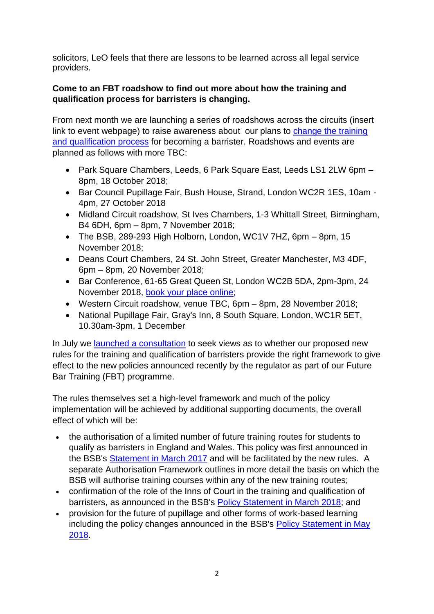solicitors, LeO feels that there are lessons to be learned across all legal service providers.

## **Come to an FBT roadshow to find out more about how the training and qualification process for barristers is changing.**

From next month we are launching a series of roadshows across the circuits (insert link to event webpage) to raise awareness about our plans to [change the training](https://www.barstandardsboard.org.uk/qualifying-as-a-barrister/future-requirements/future-bar-training/future-ways-to-qualify-as-a-barrister/)  [and qualification process](https://www.barstandardsboard.org.uk/qualifying-as-a-barrister/future-requirements/future-bar-training/future-ways-to-qualify-as-a-barrister/) for becoming a barrister. Roadshows and events are planned as follows with more TBC:

- Park Square Chambers, Leeds, 6 Park Square East, Leeds LS1 2LW 6pm 8pm, 18 October 2018;
- Bar Council Pupillage Fair, Bush House, Strand, London WC2R 1ES, 10am 4pm, 27 October 2018
- Midland Circuit roadshow, St Ives Chambers, 1-3 Whittall Street, Birmingham, B4 6DH, 6pm – 8pm, 7 November 2018;
- The BSB, 289-293 High Holborn, London, WC1V 7HZ, 6pm 8pm, 15 November 2018;
- Deans Court Chambers, 24 St. John Street, Greater Manchester, M3 4DF, 6pm – 8pm, 20 November 2018;
- Bar Conference, 61-65 Great Queen St, London WC2B 5DA, 2pm-3pm, 24 November 2018, [book your place online;](https://www.barcouncil.org.uk/supporting-the-bar/conferences,-training-and-other-events/2018/november/annual-and-young-bar-conference-2018/)
- Western Circuit roadshow, venue TBC, 6pm 8pm, 28 November 2018;
- National Pupillage Fair, Gray's Inn, 8 South Square, London, WC1R 5ET, 10.30am-3pm, 1 December

In July we launched a [consultation](https://www.barstandardsboard.org.uk/media/1943343/rule_change_condoc.pdf) to seek views as to whether our proposed new rules for the training and qualification of barristers provide the right framework to give effect to the new policies announced recently by the regulator as part of our Future Bar Training (FBT) programme.

The rules themselves set a high-level framework and much of the policy implementation will be achieved by additional supporting documents, the overall effect of which will be:

- the authorisation of a limited number of future training routes for students to qualify as barristers in England and Wales. This policy was first announced in the BSB's [Statement](https://www.barstandardsboard.org.uk/media/1825162/032317_fbt_-_policy_statement_version_for_publication.pdf) in March 2017 and will be facilitated by the new rules. A separate Authorisation Framework outlines in more detail the basis on which the BSB will authorise training courses within any of the new training routes;
- confirmation of the role of the Inns of Court in the training and qualification of barristers, as announced in the BSB's Policy [Statement](https://www.barstandardsboard.org.uk/media-centre/press-releases-and-news/bsb-agrees-approach-on-the-role-of-the-inns-of-court-in-the-future-of-bar-training/) in March 2018; and
- provision for the future of pupillage and other forms of work-based learning including the policy changes announced in the BSB's Policy [Statement](https://www.barstandardsboard.org.uk/media-centre/press-releases-and-news/bsb-agrees-further-key-elements-for-the-future-of-bar-training/) in May [2018.](https://www.barstandardsboard.org.uk/media-centre/press-releases-and-news/bsb-agrees-further-key-elements-for-the-future-of-bar-training/)